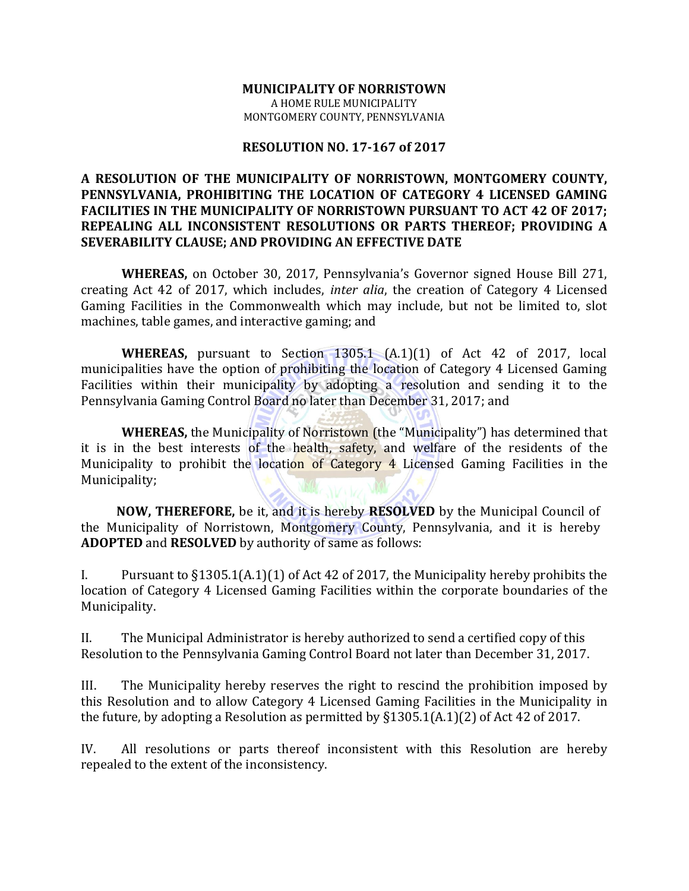#### **MUNICIPALITY OF NORRISTOWN** A HOME RULE MUNICIPALITY MONTGOMERY COUNTY, PENNSYLVANIA

### **RESOLUTION NO. 17-167 of 2017**

### **A RESOLUTION OF THE MUNICIPALITY OF NORRISTOWN, MONTGOMERY COUNTY, PENNSYLVANIA, PROHIBITING THE LOCATION OF CATEGORY 4 LICENSED GAMING FACILITIES IN THE MUNICIPALITY OF NORRISTOWN PURSUANT TO ACT 42 OF 2017; REPEALING ALL INCONSISTENT RESOLUTIONS OR PARTS THEREOF; PROVIDING A SEVERABILITY CLAUSE; AND PROVIDING AN EFFECTIVE DATE**

**WHEREAS,** on October 30, 2017, Pennsylvania's Governor signed House Bill 271, creating Act 42 of 2017, which includes, *inter alia*, the creation of Category 4 Licensed Gaming Facilities in the Commonwealth which may include, but not be limited to, slot machines, table games, and interactive gaming; and

**WHEREAS,** pursuant to Section 1305.1 (A.1)(1) of Act 42 of 2017, local municipalities have the option of prohibiting the location of Category 4 Licensed Gaming Facilities within their municipality by adopting a resolution and sending it to the Pennsylvania Gaming Control Board no later than December 31, 2017; and

**WHEREAS,** the Municipality of Norristown (the "Municipality") has determined that it is in the best interests of the health, safety, and welfare of the residents of the Municipality to prohibit the location of Category 4 Licensed Gaming Facilities in the Municipality;

**NOW, THEREFORE,** be it, and it is hereby **RESOLVED** by the Municipal Council of the Municipality of Norristown, Montgomery County, Pennsylvania, and it is hereby **ADOPTED** and **RESOLVED** by authority of same as follows:

I. Pursuant to §1305.1(A.1)(1) of Act 42 of 2017, the Municipality hereby prohibits the location of Category 4 Licensed Gaming Facilities within the corporate boundaries of the Municipality.

II. The Municipal Administrator is hereby authorized to send a certified copy of this Resolution to the Pennsylvania Gaming Control Board not later than December 31, 2017.

III. The Municipality hereby reserves the right to rescind the prohibition imposed by this Resolution and to allow Category 4 Licensed Gaming Facilities in the Municipality in the future, by adopting a Resolution as permitted by §1305.1(A.1)(2) of Act 42 of 2017.

IV. All resolutions or parts thereof inconsistent with this Resolution are hereby repealed to the extent of the inconsistency.